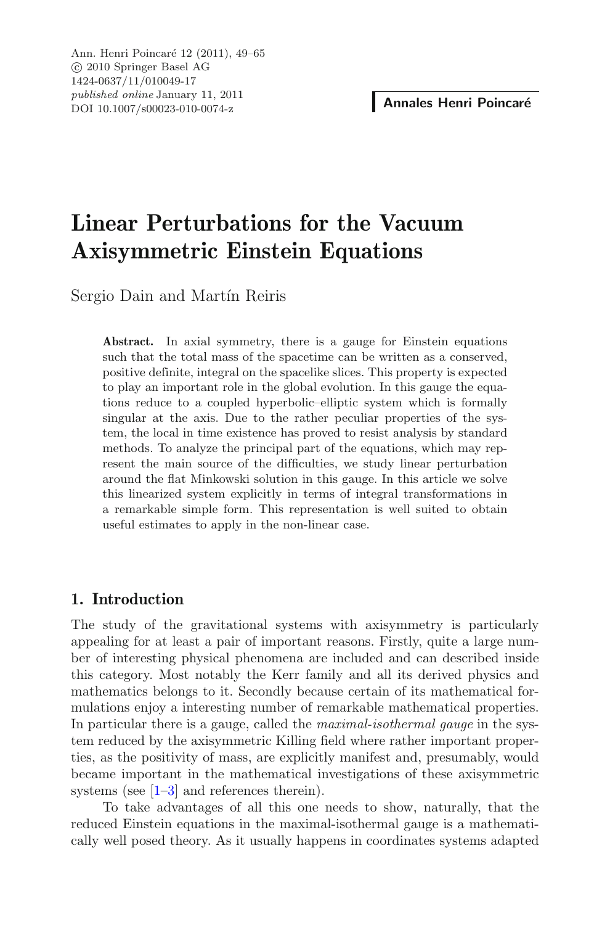# **Linear Perturbations for the Vacuum Axisymmetric Einstein Equations**

Sergio Dain and Martín Reiris

**Abstract.** In axial symmetry, there is a gauge for Einstein equations such that the total mass of the spacetime can be written as a conserved, positive definite, integral on the spacelike slices. This property is expected to play an important role in the global evolution. In this gauge the equations reduce to a coupled hyperbolic–elliptic system which is formally singular at the axis. Due to the rather peculiar properties of the system, the local in time existence has proved to resist analysis by standard methods. To analyze the principal part of the equations, which may represent the main source of the difficulties, we study linear perturbation around the flat Minkowski solution in this gauge. In this article we solve this linearized system explicitly in terms of integral transformations in a remarkable simple form. This representation is well suited to obtain useful estimates to apply in the non-linear case.

# **1. Introduction**

The study of the gravitational systems with axisymmetry is particularly appealing for at least a pair of important reasons. Firstly, quite a large number of interesting physical phenomena are included and can described inside this category. Most notably the Kerr family and all its derived physics and mathematics belongs to it. Secondly because certain of its mathematical formulations enjoy a interesting number of remarkable mathematical properties. In particular there is a gauge, called the *maximal-isothermal gauge* in the system reduced by the axisymmetric Killing field where rather important properties, as the positivity of mass, are explicitly manifest and, presumably, would became important in the mathematical investigations of these axisymmetric systems (see  $[1-3]$  $[1-3]$  and references therein).

To take advantages of all this one needs to show, naturally, that the reduced Einstein equations in the maximal-isothermal gauge is a mathematically well posed theory. As it usually happens in coordinates systems adapted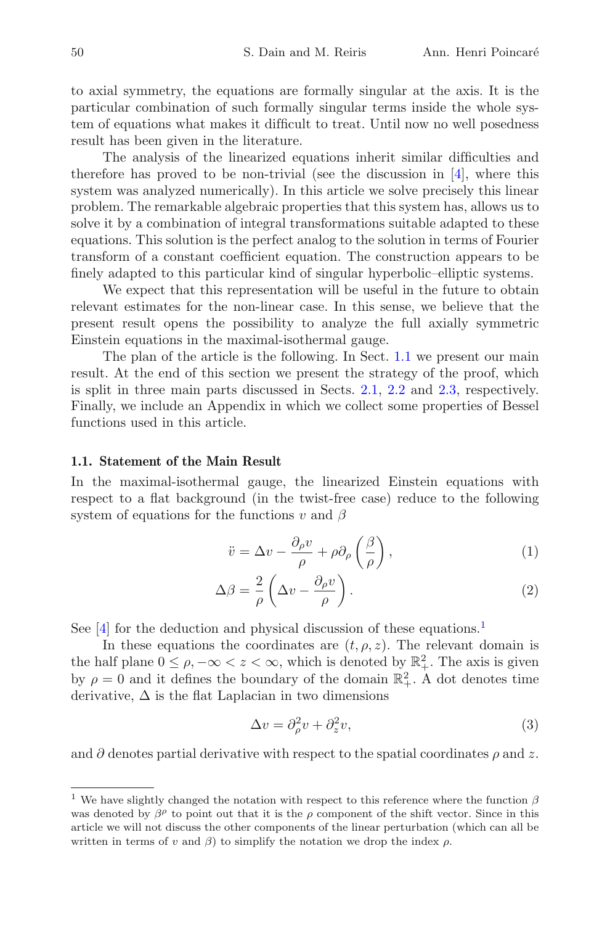to axial symmetry, the equations are formally singular at the axis. It is the particular combination of such formally singular terms inside the whole system of equations what makes it difficult to treat. Until now no well posedness result has been given in the literature.

The analysis of the linearized equations inherit similar difficulties and therefore has proved to be non-trivial (see the discussion in [\[4](#page-15-2)], where this system was analyzed numerically). In this article we solve precisely this linear problem. The remarkable algebraic properties that this system has, allows us to solve it by a combination of integral transformations suitable adapted to these equations. This solution is the perfect analog to the solution in terms of Fourier transform of a constant coefficient equation. The construction appears to be finely adapted to this particular kind of singular hyperbolic–elliptic systems.

We expect that this representation will be useful in the future to obtain relevant estimates for the non-linear case. In this sense, we believe that the present result opens the possibility to analyze the full axially symmetric Einstein equations in the maximal-isothermal gauge.

The plan of the article is the following. In Sect. [1.1](#page-1-0) we present our main result. At the end of this section we present the strategy of the proof, which is split in three main parts discussed in Sects. [2.1,](#page-5-0) [2.2](#page-7-0) and [2.3,](#page-8-0) respectively. Finally, we include an Appendix in which we collect some properties of Bessel functions used in this article.

#### <span id="page-1-0"></span>**1.1. Statement of the Main Result**

<span id="page-1-2"></span>In the maximal-isothermal gauge, the linearized Einstein equations with respect to a flat background (in the twist-free case) reduce to the following system of equations for the functions v and  $\beta$ 

$$
\ddot{v} = \Delta v - \frac{\partial_{\rho} v}{\rho} + \rho \partial_{\rho} \left(\frac{\beta}{\rho}\right),\tag{1}
$$

$$
\Delta \beta = \frac{2}{\rho} \left( \Delta v - \frac{\partial_{\rho} v}{\rho} \right). \tag{2}
$$

See [\[4\]](#page-15-2) for the deduction and physical discussion of these equations.<sup>[1](#page-1-1)</sup>

In these equations the coordinates are  $(t, \rho, z)$ . The relevant domain is the half plane  $0 \leq \rho, -\infty < z < \infty$ , which is denoted by  $\mathbb{R}^2_+$ . The axis is given<br>by  $\rho = 0$  and it defines the boundary of the domain  $\mathbb{R}^2$ . A dot denotes time by  $\rho = 0$  and it defines the boundary of the domain  $\mathbb{R}^2_+$ . A dot denotes time derivative  $\Lambda$  is the flat Laplacian in two dimensions derivative,  $\Delta$  is the flat Laplacian in two dimensions

$$
\Delta v = \partial_{\rho}^{2} v + \partial_{z}^{2} v,\tag{3}
$$

and ∂ denotes partial derivative with respect to the spatial coordinates  $\rho$  and z.

<span id="page-1-1"></span><sup>&</sup>lt;sup>1</sup> We have slightly changed the notation with respect to this reference where the function  $\beta$ was denoted by  $\beta^{\rho}$  to point out that it is the  $\rho$  component of the shift vector. Since in this article we will not discuss the other components of the linear perturbation (which can all be written in terms of v and  $\beta$ ) to simplify the notation we drop the index  $\rho$ .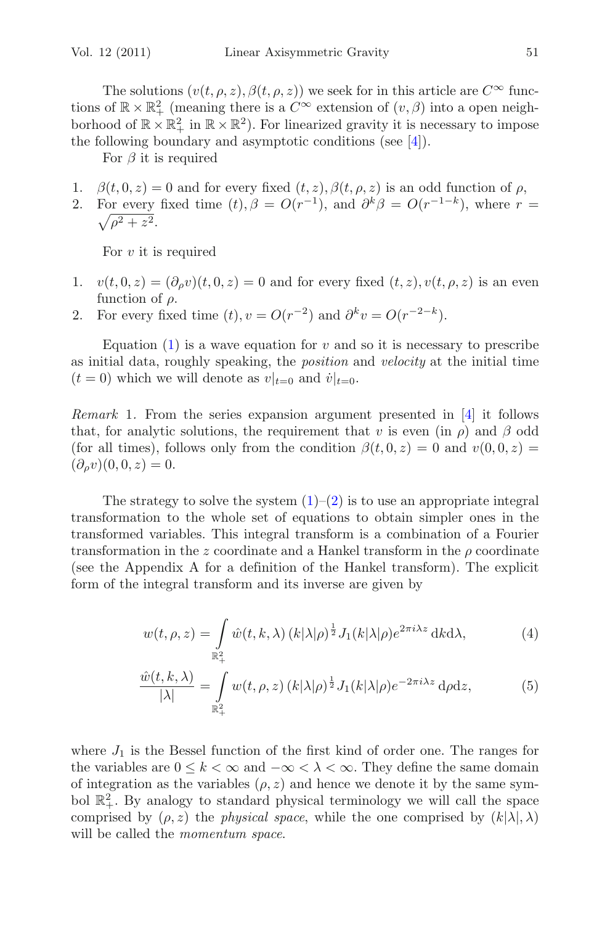The solutions  $(v(t, \rho, z), \beta(t, \rho, z))$  we seek for in this article are  $C^{\infty}$  functions of  $\mathbb{R} \times \mathbb{R}^2_+$  (meaning there is a  $C^{\infty}$  extension of  $(v, \beta)$  into a open neigh-<br>borbood of  $\mathbb{R} \times \mathbb{R}^2$  in  $\mathbb{R} \times \mathbb{R}^2$ ). For linearized gravity it is necessary to impose borhood of  $\mathbb{R} \times \mathbb{R}^2_+$  in  $\mathbb{R} \times \mathbb{R}^2$ . For linearized gravity it is necessary to impose the following boundary and asymptotic conditions (see [\[4](#page-15-2)]).

For  $\beta$  it is required

- 1.  $\beta(t, 0, z) = 0$  and for every fixed  $(t, z), \beta(t, \rho, z)$  is an odd function of  $\rho$ ,<br>2. For every fixed time  $(t)$ ,  $\beta = O(r^{-1})$  and  $\partial^k \beta = O(r^{-1-k})$ , where r
- 2. For every fixed time  $(t)$ ,  $\beta = O(r^{-1})$ , and  $\partial^k \beta = O(r^{-1-k})$ , where  $r = \sqrt{a^2 + r^2}$  $\sqrt{\rho^2+z^2}$ .

For  $v$  it is required

- 1.  $v(t, 0, z) = (\partial_{\rho}v)(t, 0, z) = 0$  and for every fixed  $(t, z), v(t, \rho, z)$  is an even function of  $\rho$ . function of  $\rho$ .<br>For every fixe
- 2. For every fixed time  $(t)$ ,  $v = O(r^{-2})$  and  $\partial^k v = O(r^{-2-k})$ .

Equation  $(1)$  is a wave equation for v and so it is necessary to prescribe as initial data, roughly speaking, the *position* and *velocity* at the initial time  $(t = 0)$  which we will denote as  $v|_{t=0}$  and  $\dot{v}|_{t=0}$ .

*Remark* 1*.* From the series expansion argument presented in [\[4](#page-15-2)] it follows that, for analytic solutions, the requirement that v is even (in  $\rho$ ) and  $\beta$  odd (for all times), follows only from the condition  $\beta(t, 0, z) = 0$  and  $v(0, 0, z) =$  $(\partial_{\rho}v)(0,0,z)=0.$ 

The strategy to solve the system  $(1)$ – $(2)$  is to use an appropriate integral transformation to the whole set of equations to obtain simpler ones in the transformed variables. This integral transform is a combination of a Fourier transformation in the z coordinate and a Hankel transform in the  $\rho$  coordinate (see the Appendix A for a definition of the Hankel transform). The explicit form of the integral transform and its inverse are given by

<span id="page-2-0"></span>
$$
w(t, \rho, z) = \int_{\mathbb{R}^2_+} \hat{w}(t, k, \lambda) \left(k|\lambda|\rho\right)^{\frac{1}{2}} J_1(k|\lambda|\rho) e^{2\pi i \lambda z} dk d\lambda,
$$
 (4)

$$
\frac{\hat{w}(t,k,\lambda)}{|\lambda|} = \int_{\mathbb{R}_+^2} w(t,\rho,z) \left(k|\lambda|\rho\right)^{\frac{1}{2}} J_1(k|\lambda|\rho) e^{-2\pi i \lambda z} d\rho dz, \tag{5}
$$

<span id="page-2-1"></span>where  $J_1$  is the Bessel function of the first kind of order one. The ranges for the variables are  $0 \leq k < \infty$  and  $-\infty < \lambda < \infty$ . They define the same domain of integration as the variables  $(\rho, z)$  and hence we denote it by the same symbol  $\mathbb{R}^2_+$ . By analogy to standard physical terminology we will call the space comprised by  $(\rho, z)$  the *physical space*, while the one comprised by  $(k|\lambda|, \lambda)$ will be called the *momentum space*.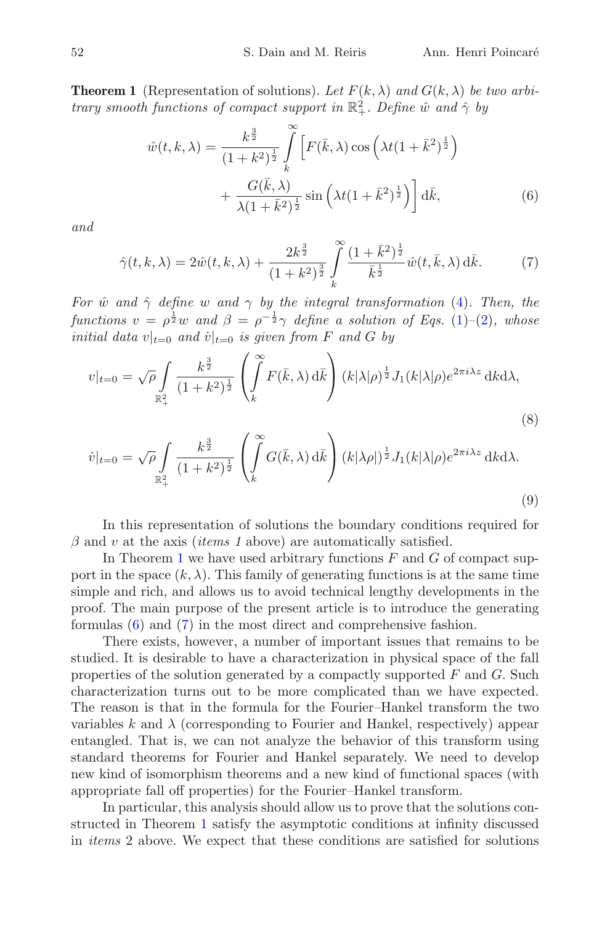<span id="page-3-0"></span>**Theorem 1** (Representation of solutions). Let  $F(k, \lambda)$  and  $G(k, \lambda)$  be two arbi*trary smooth functions of compact support in*  $\mathbb{R}^2_+$ *. Define*  $\hat{w}$  *and*  $\hat{\gamma}$  *by* 

$$
\hat{w}(t,k,\lambda) = \frac{k^{\frac{3}{2}}}{(1+k^2)^{\frac{1}{2}}} \int_{k}^{\infty} \left[ F(\bar{k},\lambda) \cos \left( \lambda t (1+\bar{k}^2)^{\frac{1}{2}} \right) + \frac{G(\bar{k},\lambda)}{\lambda (1+\bar{k}^2)^{\frac{1}{2}}} \sin \left( \lambda t (1+\bar{k}^2)^{\frac{1}{2}} \right) \right] d\bar{k},\tag{6}
$$

<span id="page-3-1"></span>*and*

$$
\hat{\gamma}(t,k,\lambda) = 2\hat{w}(t,k,\lambda) + \frac{2k^{\frac{3}{2}}}{(1+k^2)^{\frac{3}{2}}} \int\limits_{k}^{\infty} \frac{(1+\bar{k}^2)^{\frac{1}{2}}}{\bar{k}^{\frac{1}{2}}} \hat{w}(t,\bar{k},\lambda) d\bar{k}.
$$
 (7)

*For*  $\hat{w}$  *and*  $\hat{\gamma}$  *define* w *and*  $\gamma$  *by the integral transformation* [\(4\)](#page-2-0)*. Then, the functions*  $v = \rho^{\frac{1}{2}} w$  *and*  $\beta = \rho^{-\frac{1}{2}} \gamma$  *define a solution of Eqs.* [\(1\)](#page-1-2)–[\(2\)](#page-1-2)*, whose*<br>*initial data v*  $\alpha$  *and i*),  $\alpha$  *is given from F* and *G* by *initial data*  $v|_{t=0}$  *and*  $\dot{v}|_{t=0}$  *is given from* F *and* G *by* 

$$
v|_{t=0} = \sqrt{\rho} \int\limits_{\mathbb{R}^2_+} \frac{k^{\frac{3}{2}}}{(1+k^2)^{\frac{1}{2}}} \left( \int\limits_k^{\infty} F(\bar{k}, \lambda) \, d\bar{k} \right) (k|\lambda|\rho)^{\frac{1}{2}} J_1(k|\lambda|\rho) e^{2\pi i \lambda z} \, dk d\lambda,
$$
\n(8)

$$
\dot{v}|_{t=0} = \sqrt{\rho} \int_{\mathbb{R}^2_+} \frac{k^{\frac{3}{2}}}{(1+k^2)^{\frac{1}{2}}} \left( \int_k^{\infty} G(\bar{k}, \lambda) d\bar{k} \right) (k|\lambda \rho|)^{\frac{1}{2}} J_1(k|\lambda|\rho) e^{2\pi i \lambda z} dk d\lambda.
$$
\n(9)

In this representation of solutions the boundary conditions required for  $\beta$  and v at the axis *(items 1* above) are automatically satisfied.

In Theorem [1](#page-2-1) we have used arbitrary functions  $F$  and  $G$  of compact support in the space  $(k, \lambda)$ . This family of generating functions is at the same time simple and rich, and allows us to avoid technical lengthy developments in the proof. The main purpose of the present article is to introduce the generating formulas [\(6\)](#page-3-0) and [\(7\)](#page-3-1) in the most direct and comprehensive fashion.

There exists, however, a number of important issues that remains to be studied. It is desirable to have a characterization in physical space of the fall properties of the solution generated by a compactly supported  $F$  and  $G$ . Such characterization turns out to be more complicated than we have expected. The reason is that in the formula for the Fourier–Hankel transform the two variables  $k$  and  $\lambda$  (corresponding to Fourier and Hankel, respectively) appear entangled. That is, we can not analyze the behavior of this transform using standard theorems for Fourier and Hankel separately. We need to develop new kind of isomorphism theorems and a new kind of functional spaces (with appropriate fall off properties) for the Fourier–Hankel transform.

In particular, this analysis should allow us to prove that the solutions constructed in Theorem [1](#page-2-1) satisfy the asymptotic conditions at infinity discussed in *items* 2 above. We expect that these conditions are satisfied for solutions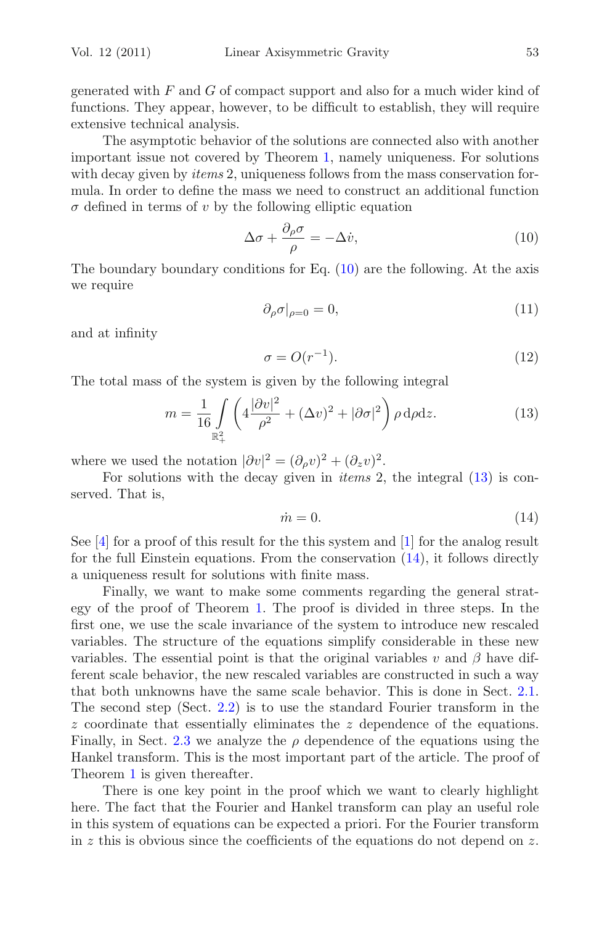generated with  $F$  and  $G$  of compact support and also for a much wider kind of functions. They appear, however, to be difficult to establish, they will require extensive technical analysis.

The asymptotic behavior of the solutions are connected also with another important issue not covered by Theorem [1,](#page-2-1) namely uniqueness. For solutions with decay given by *items* 2, uniqueness follows from the mass conservation formula. In order to define the mass we need to construct an additional function  $\sigma$  defined in terms of v by the following elliptic equation

$$
\Delta \sigma + \frac{\partial_{\rho} \sigma}{\rho} = -\Delta \dot{v},\tag{10}
$$

<span id="page-4-0"></span>The boundary boundary conditions for Eq. [\(10\)](#page-4-0) are the following. At the axis we require

$$
\partial_{\rho}\sigma|_{\rho=0}=0,\tag{11}
$$

and at infinity

$$
\sigma = O(r^{-1}).\tag{12}
$$

<span id="page-4-1"></span>The total mass of the system is given by the following integral

$$
m = \frac{1}{16} \int\limits_{\mathbb{R}^2_+} \left( 4 \frac{|\partial v|^2}{\rho^2} + (\Delta v)^2 + |\partial \sigma|^2 \right) \rho \, d\rho dz. \tag{13}
$$

where we used the notation  $|\partial v|^2 = (\partial_\rho v)^2 + (\partial_z v)^2$ .<br>For solutions with the decay given in *items* 2.

For solutions with the decay given in *items* 2, the integral [\(13\)](#page-4-1) is conserved. That is,

<span id="page-4-2"></span>
$$
\dot{m} = 0.\tag{14}
$$

See [\[4](#page-15-2)] for a proof of this result for the this system and [\[1](#page-15-0)] for the analog result for the full Einstein equations. From the conservation [\(14\)](#page-4-2), it follows directly a uniqueness result for solutions with finite mass.

Finally, we want to make some comments regarding the general strategy of the proof of Theorem [1.](#page-2-1) The proof is divided in three steps. In the first one, we use the scale invariance of the system to introduce new rescaled variables. The structure of the equations simplify considerable in these new variables. The essential point is that the original variables v and  $\beta$  have different scale behavior, the new rescaled variables are constructed in such a way that both unknowns have the same scale behavior. This is done in Sect. [2.1.](#page-5-0) The second step (Sect. [2.2\)](#page-7-0) is to use the standard Fourier transform in the z coordinate that essentially eliminates the z dependence of the equations. Finally, in Sect. [2.3](#page-8-0) we analyze the  $\rho$  dependence of the equations using the Hankel transform. This is the most important part of the article. The proof of Theorem [1](#page-2-1) is given thereafter.

There is one key point in the proof which we want to clearly highlight here. The fact that the Fourier and Hankel transform can play an useful role in this system of equations can be expected a priori. For the Fourier transform in z this is obvious since the coefficients of the equations do not depend on z.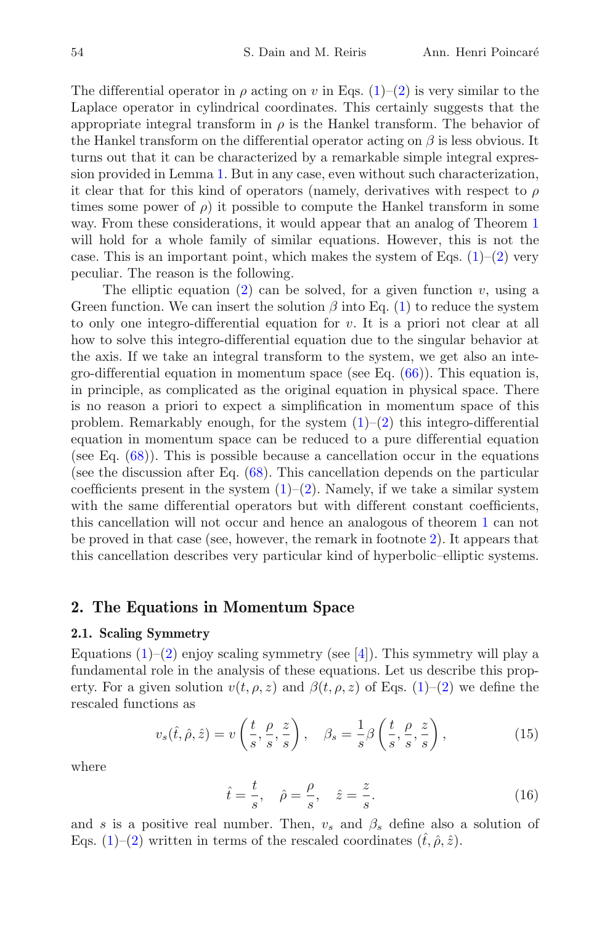The differential operator in  $\rho$  acting on v in Eqs. [\(1\)](#page-1-2)–[\(2\)](#page-1-2) is very similar to the Laplace operator in cylindrical coordinates. This certainly suggests that the appropriate integral transform in  $\rho$  is the Hankel transform. The behavior of the Hankel transform on the differential operator acting on  $\beta$  is less obvious. It turns out that it can be characterized by a remarkable simple integral expression provided in Lemma [1.](#page-10-0) But in any case, even without such characterization, it clear that for this kind of operators (namely, derivatives with respect to  $\rho$ times some power of  $\rho$ ) it possible to compute the Hankel transform in some way. From these considerations, it would appear that an analog of Theorem [1](#page-2-1) will hold for a whole family of similar equations. However, this is not the case. This is an important point, which makes the system of Eqs.  $(1)-(2)$  $(1)-(2)$  $(1)-(2)$  very peculiar. The reason is the following.

The elliptic equation  $(2)$  can be solved, for a given function v, using a Green function. We can insert the solution  $\beta$  into Eq. [\(1\)](#page-1-2) to reduce the system to only one integro-differential equation for v. It is a priori not clear at all how to solve this integro-differential equation due to the singular behavior at the axis. If we take an integral transform to the system, we get also an integro-differential equation in momentum space (see Eq.  $(66)$ ). This equation is, in principle, as complicated as the original equation in physical space. There is no reason a priori to expect a simplification in momentum space of this problem. Remarkably enough, for the system  $(1)-(2)$  $(1)-(2)$  $(1)-(2)$  this integro-differential equation in momentum space can be reduced to a pure differential equation (see Eq. [\(68\)](#page-13-0)). This is possible because a cancellation occur in the equations (see the discussion after Eq. [\(68\)](#page-13-0). This cancellation depends on the particular coefficients present in the system  $(1)-(2)$  $(1)-(2)$  $(1)-(2)$ . Namely, if we take a similar system with the same differential operators but with different constant coefficients, this cancellation will not occur and hence an analogous of theorem [1](#page-2-1) can not be proved in that case (see, however, the remark in footnote [2\)](#page-7-1). It appears that this cancellation describes very particular kind of hyperbolic–elliptic systems.

#### <span id="page-5-0"></span>**2. The Equations in Momentum Space**

#### **2.1. Scaling Symmetry**

Equations  $(1)-(2)$  $(1)-(2)$  $(1)-(2)$  enjoy scaling symmetry (see [\[4\]](#page-15-2)). This symmetry will play a fundamental role in the analysis of these equations. Let us describe this property. For a given solution  $v(t, \rho, z)$  and  $\beta(t, \rho, z)$  of Eqs. [\(1\)](#page-1-2)–[\(2\)](#page-1-2) we define the rescaled functions as

$$
v_s(\hat{t}, \hat{\rho}, \hat{z}) = v\left(\frac{t}{s}, \frac{\rho}{s}, \frac{z}{s}\right), \quad \beta_s = \frac{1}{s}\beta\left(\frac{t}{s}, \frac{\rho}{s}, \frac{z}{s}\right),\tag{15}
$$

where

$$
\hat{t} = \frac{t}{s}, \quad \hat{\rho} = \frac{\rho}{s}, \quad \hat{z} = \frac{z}{s}.
$$
\n(16)

<span id="page-5-1"></span>and s is a positive real number. Then,  $v_s$  and  $\beta_s$  define also a solution of Eqs. (1)–(2) written in terms of the rescaled coordinates ( $\hat{t}$ ,  $\hat{\sigma}$ ) Eqs. [\(1\)](#page-1-2)–[\(2\)](#page-1-2) written in terms of the rescaled coordinates  $(\hat{t}, \hat{\rho}, \hat{z})$ .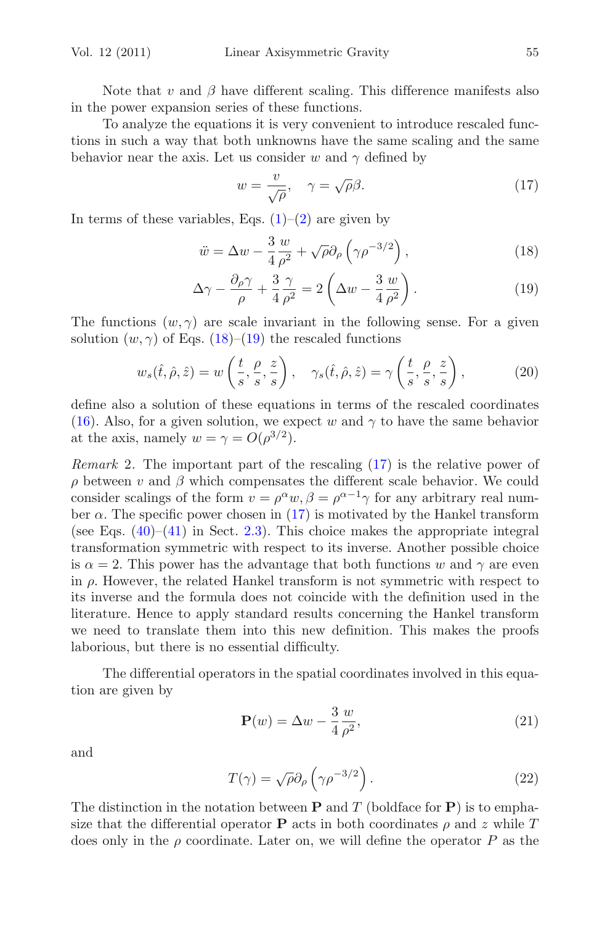Note that v and  $\beta$  have different scaling. This difference manifests also in the power expansion series of these functions.

To analyze the equations it is very convenient to introduce rescaled functions in such a way that both unknowns have the same scaling and the same behavior near the axis. Let us consider w and  $\gamma$  defined by

$$
w = \frac{v}{\sqrt{\rho}}, \quad \gamma = \sqrt{\rho}\beta. \tag{17}
$$

<span id="page-6-1"></span><span id="page-6-0"></span>In terms of these variables, Eqs.  $(1)-(2)$  $(1)-(2)$  $(1)-(2)$  are given by

$$
\ddot{w} = \Delta w - \frac{3}{4} \frac{w}{\rho^2} + \sqrt{\rho} \partial_\rho \left( \gamma \rho^{-3/2} \right),\tag{18}
$$

$$
\Delta \gamma - \frac{\partial_{\rho} \gamma}{\rho} + \frac{3}{4} \frac{\gamma}{\rho^2} = 2 \left( \Delta w - \frac{3}{4} \frac{w}{\rho^2} \right). \tag{19}
$$

The functions  $(w, \gamma)$  are scale invariant in the following sense. For a given solution  $(w, \gamma)$  of Eqs. (18)–(19) the rescaled functions solution  $(w, \gamma)$  of Eqs. [\(18\)](#page-6-0)–[\(19\)](#page-6-0) the rescaled functions

$$
w_s(\hat{t}, \hat{\rho}, \hat{z}) = w\left(\frac{t}{s}, \frac{\rho}{s}, \frac{z}{s}\right), \quad \gamma_s(\hat{t}, \hat{\rho}, \hat{z}) = \gamma\left(\frac{t}{s}, \frac{\rho}{s}, \frac{z}{s}\right),\tag{20}
$$

define also a solution of these equations in terms of the rescaled coordinates [\(16\)](#page-5-1). Also, for a given solution, we expect w and  $\gamma$  to have the same behavior at the axis, namely  $w = \gamma = O(\rho^{3/2})$ .

*Remark* 2*.* The important part of the rescaling [\(17\)](#page-6-1) is the relative power of ρ between v and β which compensates the different scale behavior. We could consider scalings of the form  $v = \rho^{\alpha}w, \beta = \rho^{\alpha-1}\gamma$  for any arbitrary real number  $\alpha$ . The specific power chosen in [\(17\)](#page-6-1) is motivated by the Hankel transform (see Eqs.  $(40)$ – $(41)$  in Sect. [2.3\)](#page-8-0). This choice makes the appropriate integral transformation symmetric with respect to its inverse. Another possible choice is  $\alpha = 2$ . This power has the advantage that both functions w and  $\gamma$  are even in  $\rho$ . However, the related Hankel transform is not symmetric with respect to its inverse and the formula does not coincide with the definition used in the literature. Hence to apply standard results concerning the Hankel transform we need to translate them into this new definition. This makes the proofs laborious, but there is no essential difficulty.

The differential operators in the spatial coordinates involved in this equation are given by

$$
\mathbf{P}(w) = \Delta w - \frac{3}{4} \frac{w}{\rho^2},\tag{21}
$$

<span id="page-6-3"></span><span id="page-6-2"></span>and

$$
T(\gamma) = \sqrt{\rho} \partial_{\rho} \left( \gamma \rho^{-3/2} \right). \tag{22}
$$

The distinction in the notation between  $P$  and  $T$  (boldface for  $P$ ) is to emphasize that the differential operator **P** acts in both coordinates  $\rho$  and z while T does only in the  $\rho$  coordinate. Later on, we will define the operator P as the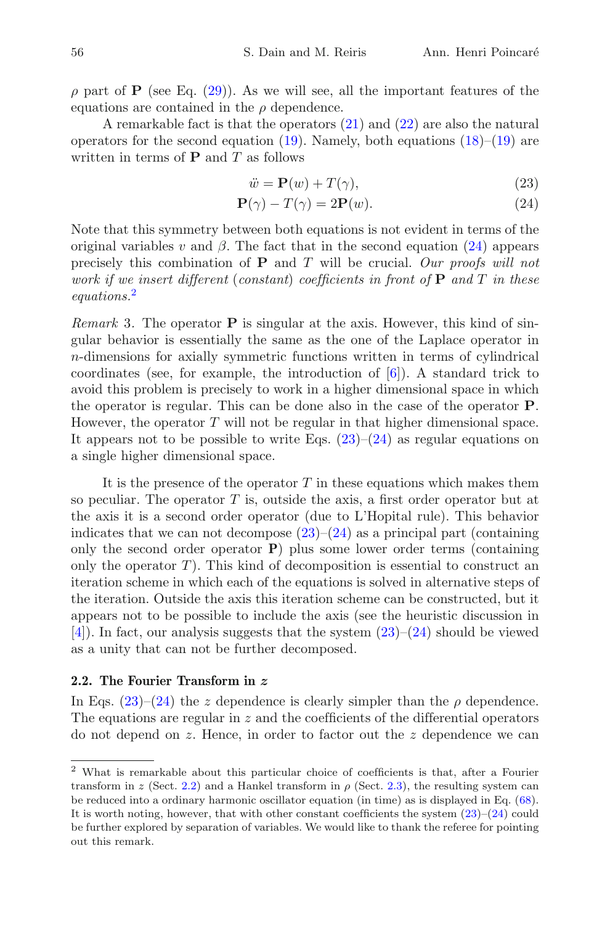$\rho$  part of **P** (see Eq. [\(29\)](#page-8-1)). As we will see, all the important features of the equations are contained in the  $\rho$  dependence.

A remarkable fact is that the operators [\(21\)](#page-6-2) and [\(22\)](#page-6-3) are also the natural operators for the second equation [\(19\)](#page-6-0). Namely, both equations  $(18)$ – $(19)$  are written in terms of **<sup>P</sup>** and T as follows

$$
\ddot{w} = \mathbf{P}(w) + T(\gamma),\tag{23}
$$

$$
\mathbf{P}(\gamma) - T(\gamma) = 2\mathbf{P}(w). \tag{24}
$$

<span id="page-7-2"></span>Note that this symmetry between both equations is not evident in terms of the original variables v and  $\beta$ . The fact that in the second equation [\(24\)](#page-7-2) appears precisely this combination of **<sup>P</sup>** and T will be crucial. *Our proofs will not work if we insert different* (*constant*) *coefficients in front of* **<sup>P</sup>** *and* T *in these equations.*[2](#page-7-1)

*Remark* 3*.* The operator **P** is singular at the axis. However, this kind of singular behavior is essentially the same as the one of the Laplace operator in n-dimensions for axially symmetric functions written in terms of cylindrical coordinates (see, for example, the introduction of  $[6]$  $[6]$ ). A standard trick to avoid this problem is precisely to work in a higher dimensional space in which the operator is regular. This can be done also in the case of the operator **P**. However, the operator  $T$  will not be regular in that higher dimensional space. It appears not to be possible to write Eqs.  $(23)-(24)$  $(23)-(24)$  $(23)-(24)$  as regular equations on a single higher dimensional space.

It is the presence of the operator  $T$  in these equations which makes them so peculiar. The operator  $T$  is, outside the axis, a first order operator but at the axis it is a second order operator (due to L'Hopital rule). This behavior indicates that we can not decompose  $(23)$ – $(24)$  as a principal part (containing only the second order operator  $P$ ) plus some lower order terms (containing only the operator  $T$ ). This kind of decomposition is essential to construct an iteration scheme in which each of the equations is solved in alternative steps of the iteration. Outside the axis this iteration scheme can be constructed, but it appears not to be possible to include the axis (see the heuristic discussion in  $[4]$ ). In fact, our analysis suggests that the system  $(23)-(24)$  $(23)-(24)$  $(23)-(24)$  should be viewed as a unity that can not be further decomposed.

#### <span id="page-7-0"></span>**2.2. The Fourier Transform in** *z*

In Eqs. [\(23\)](#page-7-2)–[\(24\)](#page-7-2) the z dependence is clearly simpler than the  $\rho$  dependence. The equations are regular in  $z$  and the coefficients of the differential operators do not depend on z. Hence, in order to factor out the z dependence we can

<span id="page-7-1"></span><sup>2</sup> What is remarkable about this particular choice of coefficients is that, after a Fourier transform in z (Sect. [2.2\)](#page-7-0) and a Hankel transform in  $\rho$  (Sect. [2.3\)](#page-8-0), the resulting system can be reduced into a ordinary harmonic oscillator equation (in time) as is displayed in Eq. [\(68\)](#page-13-0). It is worth noting, however, that with other constant coefficients the system [\(23\)](#page-7-2)–[\(24\)](#page-7-2) could be further explored by separation of variables. We would like to thank the referee for pointing out this remark.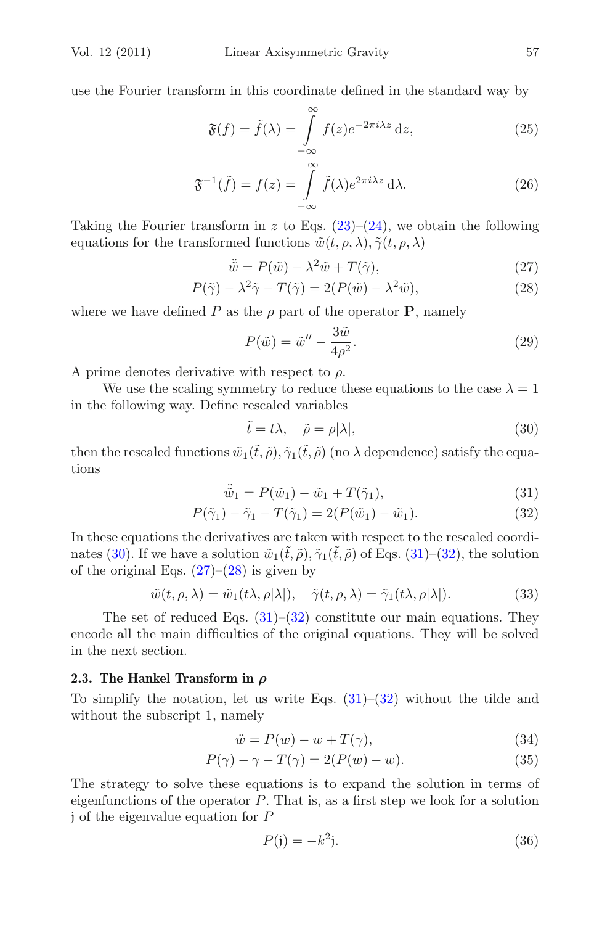<span id="page-8-8"></span>use the Fourier transform in this coordinate defined in the standard way by

$$
\mathfrak{F}(f) = \tilde{f}(\lambda) = \int_{-\infty}^{\infty} f(z)e^{-2\pi i \lambda z} dz,
$$
\n(25)

$$
\mathfrak{F}^{-1}(\tilde{f}) = f(z) = \int_{-\infty}^{\infty} \tilde{f}(\lambda) e^{2\pi i \lambda z} d\lambda.
$$
 (26)

<span id="page-8-4"></span>Taking the Fourier transform in z to Eqs.  $(23)$ – $(24)$ , we obtain the following equations for the transformed functions  $\tilde{w}(t, \rho, \lambda), \tilde{\gamma}(t, \rho, \lambda)$ 

$$
\ddot{\tilde{w}} = P(\tilde{w}) - \lambda^2 \tilde{w} + T(\tilde{\gamma}),\tag{27}
$$

<span id="page-8-1"></span>
$$
P(\tilde{\gamma}) - \lambda^2 \tilde{\gamma} - T(\tilde{\gamma}) = 2(P(\tilde{w}) - \lambda^2 \tilde{w}),\tag{28}
$$

where we have defined P as the  $\rho$  part of the operator **P**, namely

$$
P(\tilde{w}) = \tilde{w}'' - \frac{3\tilde{w}}{4\rho^2}.
$$
\n(29)

A prime denotes derivative with respect to  $\rho$ .

We use the scaling symmetry to reduce these equations to the case  $\lambda = 1$ in the following way. Define rescaled variables

$$
\tilde{t} = t\lambda, \quad \tilde{\rho} = \rho|\lambda|,\tag{30}
$$

<span id="page-8-3"></span><span id="page-8-2"></span>then the rescaled functions  $\tilde{w}_1(\tilde{t},\tilde{\rho}), \tilde{\gamma}_1(\tilde{t},\tilde{\rho})$  (no  $\lambda$  dependence) satisfy the equations tions

$$
\ddot{\tilde{w}}_1 = P(\tilde{w}_1) - \tilde{w}_1 + T(\tilde{\gamma}_1),\tag{31}
$$

$$
P(\tilde{\gamma}_1) - \tilde{\gamma}_1 - T(\tilde{\gamma}_1) = 2(P(\tilde{w}_1) - \tilde{w}_1).
$$
 (32)

In these equations the derivatives are taken with respect to the rescaled coordi-nates [\(30\)](#page-8-2). If we have a solution  $\tilde{w}_1(\tilde{t},\tilde{\rho}), \tilde{\gamma}_1(\tilde{t},\tilde{\rho})$  of Eqs. [\(31\)](#page-8-3)–[\(32\)](#page-8-3), the solution of the original Eqs.  $(27)-(28)$  $(27)-(28)$  $(27)-(28)$  is given by

$$
\tilde{w}(t,\rho,\lambda) = \tilde{w}_1(t\lambda,\rho|\lambda|), \quad \tilde{\gamma}(t,\rho,\lambda) = \tilde{\gamma}_1(t\lambda,\rho|\lambda|). \tag{33}
$$

<span id="page-8-7"></span>The set of reduced Eqs.  $(31)$ – $(32)$  constitute our main equations. They encode all the main difficulties of the original equations. They will be solved in the next section.

#### <span id="page-8-0"></span>**2.3. The Hankel Transform in** *ρ*

<span id="page-8-6"></span>To simplify the notation, let us write Eqs.  $(31)$ – $(32)$  without the tilde and without the subscript 1, namely

$$
\ddot{w} = P(w) - w + T(\gamma),\tag{34}
$$

<span id="page-8-5"></span>
$$
P(\gamma) - \gamma - T(\gamma) = 2(P(w) - w).
$$
 (35)

The strategy to solve these equations is to expand the solution in terms of eigenfunctions of the operator  $P$ . That is, as a first step we look for a solution <sup>j</sup> of the eigenvalue equation for P

$$
P(j) = -k^2j.
$$
\n(36)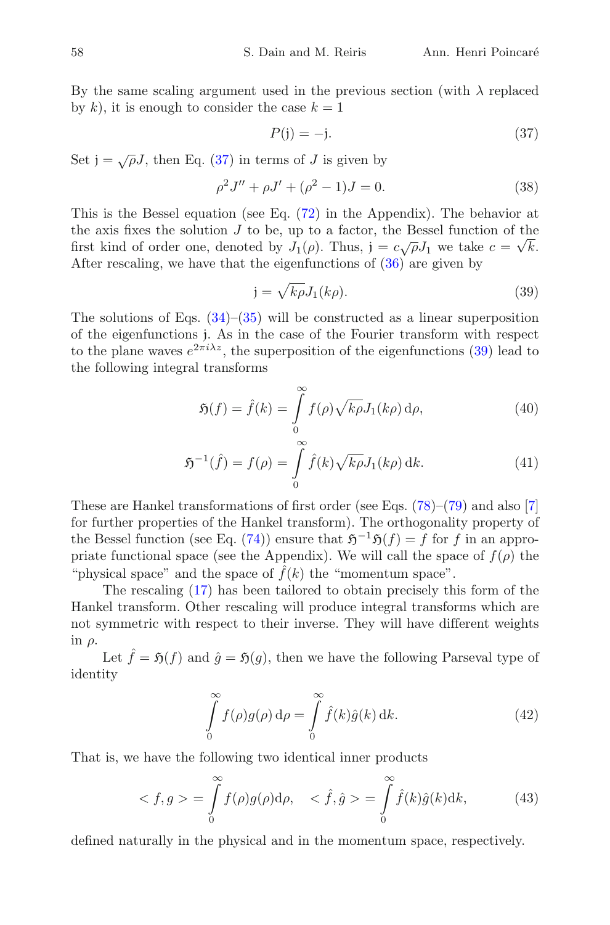By the same scaling argument used in the previous section (with  $\lambda$  replaced by k), it is enough to consider the case  $k = 1$ 

$$
P(j) = -j.\tag{37}
$$

Set  $\mathfrak{j} = \sqrt{\rho} J$ , then Eq. [\(37\)](#page-9-1) in terms of J is given by

<span id="page-9-1"></span>
$$
\rho^2 J'' + \rho J' + (\rho^2 - 1)J = 0.
$$
 (38)

This is the Bessel equation (see Eq. [\(72\)](#page-14-0) in the Appendix). The behavior at the axis fixes the solution  $J$  to be, up to a factor, the Bessel function of the first kind of order one, denoted by  $J_1(\rho)$ . Thus,  $j = c\sqrt{\rho}J_1$  we take  $c = \sqrt{k}$ .<br>After rescaling we have that the eigenfunctions of (36) are given by After rescaling, we have that the eigenfunctions of  $(36)$  are given by

$$
\mathbf{j} = \sqrt{k\rho} J_1(k\rho). \tag{39}
$$

<span id="page-9-2"></span><span id="page-9-0"></span>The solutions of Eqs.  $(34)$ – $(35)$  will be constructed as a linear superposition of the eigenfunctions j. As in the case of the Fourier transform with respect to the plane waves  $e^{2\pi i \lambda z}$ , the superposition of the eigenfunctions [\(39\)](#page-9-2) lead to the following integral transforms

$$
\mathfrak{H}(f) = \hat{f}(k) = \int_{0}^{\infty} f(\rho) \sqrt{k \rho} J_1(k \rho) d\rho, \qquad (40)
$$

$$
\mathfrak{H}^{-1}(\hat{f}) = f(\rho) = \int_{0}^{\infty} \hat{f}(k) \sqrt{k \rho} J_1(k\rho) \, \mathrm{d}k. \tag{41}
$$

These are Hankel transformations of first order (see Eqs. [\(78\)](#page-14-1)–[\(79\)](#page-15-4) and also [\[7\]](#page-15-5) for further properties of the Hankel transform). The orthogonality property of the Bessel function (see Eq. [\(74\)](#page-14-2)) ensure that  $\mathfrak{H}^{-1}\mathfrak{H}(f) = f$  for f in an appropriate functional space (see the Appendix). We will call the space of  $f(\rho)$  the "physical space" and the space of  $f(k)$  the "momentum space".

The rescaling [\(17\)](#page-6-1) has been tailored to obtain precisely this form of the Hankel transform. Other rescaling will produce integral transforms which are not symmetric with respect to their inverse. They will have different weights in ρ.

Let  $\hat{f} = \mathfrak{H}(f)$  and  $\hat{g} = \mathfrak{H}(g)$ , then we have the following Parseval type of identity

$$
\int_{0}^{\infty} f(\rho)g(\rho) d\rho = \int_{0}^{\infty} \hat{f}(k)\hat{g}(k) dk.
$$
\n(42)

That is, we have the following two identical inner products

$$
\langle f, g \rangle = \int_{0}^{\infty} f(\rho)g(\rho) d\rho, \quad \langle \hat{f}, \hat{g} \rangle = \int_{0}^{\infty} \hat{f}(k)\hat{g}(k) dk, \tag{43}
$$

defined naturally in the physical and in the momentum space, respectively.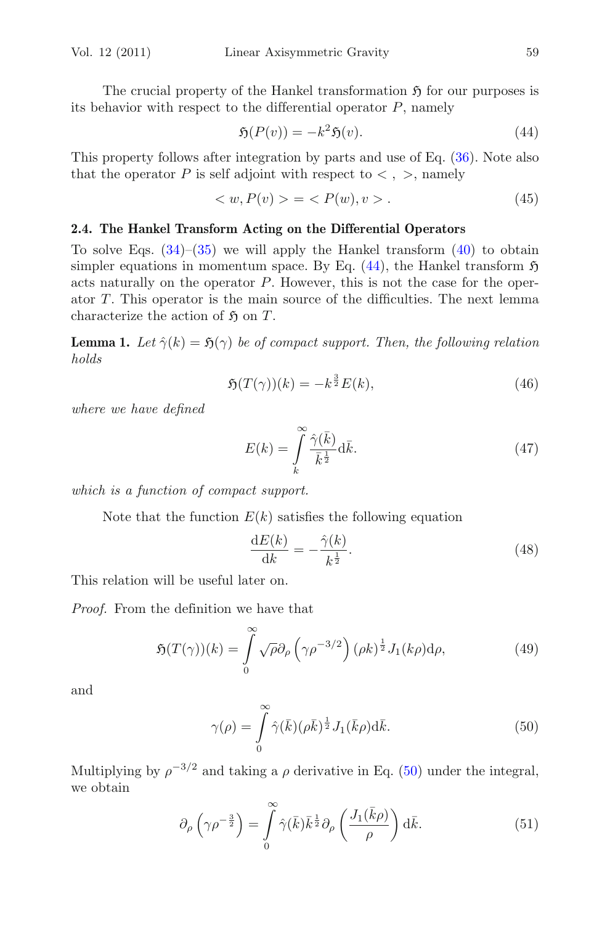The crucial property of the Hankel transformation  $\mathfrak{H}$  for our purposes is its behavior with respect to the differential operator  $P$ , namely

$$
\mathfrak{H}(P(v)) = -k^2 \mathfrak{H}(v). \tag{44}
$$

<span id="page-10-1"></span>This property follows after integration by parts and use of Eq. [\(36\)](#page-8-5). Note also that the operator P is self adjoint with respect to  $\langle , \rangle$ , namely

$$
\langle w, P(v) \rangle = \langle P(w), v \rangle. \tag{45}
$$

## **2.4. The Hankel Transform Acting on the Differential Operators**

To solve Eqs.  $(34)$ – $(35)$  we will apply the Hankel transform  $(40)$  to obtain simpler equations in momentum space. By Eq.  $(44)$ , the Hankel transform  $\mathfrak{H}$ acts naturally on the operator P. However, this is not the case for the operator T. This operator is the main source of the difficulties. The next lemma characterize the action of  $\mathfrak{H}$  on T.

<span id="page-10-0"></span>**Lemma 1.** Let  $\hat{\gamma}(k) = \mathfrak{H}(\gamma)$  be of compact support. Then, the following relation *holds*

$$
\mathfrak{H}(T(\gamma))(k) = -k^{\frac{3}{2}}E(k),\tag{46}
$$

<span id="page-10-5"></span>*where we have defined*

$$
E(k) = \int_{k}^{\infty} \frac{\hat{\gamma}(\bar{k})}{\bar{k}^{\frac{1}{2}}} d\bar{k}.
$$
 (47)

*which is a function of compact support.*

<span id="page-10-6"></span><span id="page-10-4"></span>Note that the function  $E(k)$  satisfies the following equation

$$
\frac{\mathrm{d}E(k)}{\mathrm{d}k} = -\frac{\hat{\gamma}(k)}{k^{\frac{1}{2}}}.\tag{48}
$$

This relation will be useful later on.

<span id="page-10-3"></span>*Proof.* From the definition we have that

$$
\mathfrak{H}(T(\gamma))(k) = \int_{0}^{\infty} \sqrt{\rho} \partial_{\rho} \left(\gamma \rho^{-3/2}\right) (\rho k)^{\frac{1}{2}} J_1(k\rho) d\rho, \tag{49}
$$

<span id="page-10-2"></span>and

$$
\gamma(\rho) = \int_{0}^{\infty} \hat{\gamma}(\bar{k}) (\rho \bar{k})^{\frac{1}{2}} J_1(\bar{k}\rho) d\bar{k}.
$$
 (50)

Multiplying by  $\rho^{-3/2}$  and taking a  $\rho$  derivative in Eq. [\(50\)](#page-10-2) under the integral, we obtain

$$
\partial_{\rho} \left( \gamma \rho^{-\frac{3}{2}} \right) = \int_{0}^{\infty} \hat{\gamma}(\bar{k}) \bar{k}^{\frac{1}{2}} \partial_{\rho} \left( \frac{J_{1}(\bar{k}\rho)}{\rho} \right) d\bar{k}.
$$
 (51)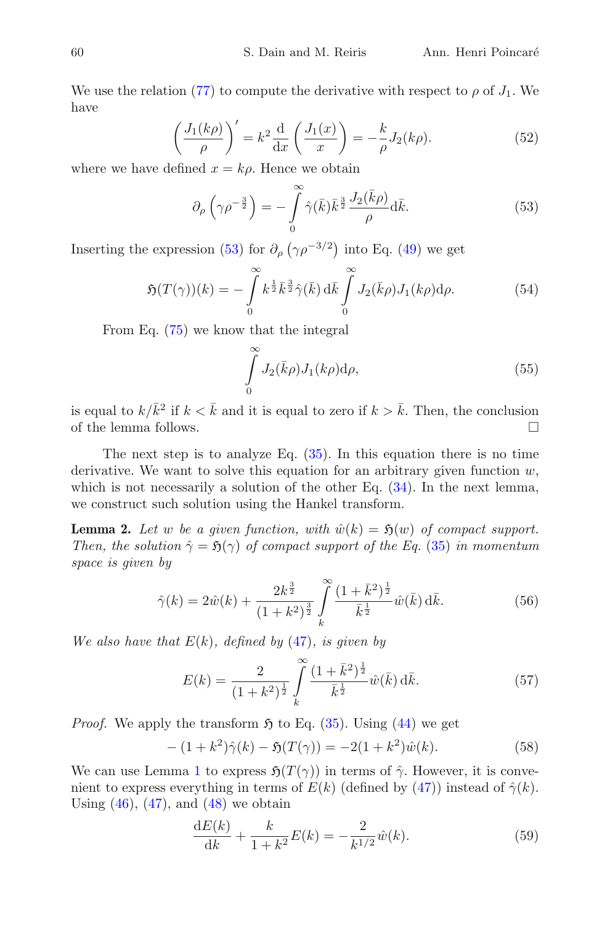We use the relation [\(77\)](#page-14-3) to compute the derivative with respect to  $\rho$  of  $J_1$ . We have

$$
\left(\frac{J_1(k\rho)}{\rho}\right)' = k^2 \frac{d}{dx} \left(\frac{J_1(x)}{x}\right) = -\frac{k}{\rho} J_2(k\rho).
$$
\n(52)

\nwhere we have defined  $x = k\rho$ . Hence we obtain

<span id="page-11-0"></span>

$$
\partial_{\rho} \left( \gamma \rho^{-\frac{3}{2}} \right) = -\int_{0}^{\infty} \hat{\gamma}(\bar{k}) \bar{k}^{\frac{3}{2}} \frac{J_{2}(\bar{k}\rho)}{\rho} d\bar{k}.
$$
 (53)

Inserting the expression [\(53\)](#page-11-0) for  $\partial_{\rho} (\gamma \rho^{-3/2})$  into Eq. [\(49\)](#page-10-3) we get

$$
\mathfrak{H}(T(\gamma))(k) = -\int_{0}^{\infty} k^{\frac{1}{2}} \bar{k}^{\frac{3}{2}} \hat{\gamma}(\bar{k}) \, d\bar{k} \int_{0}^{\infty} J_{2}(\bar{k}\rho) J_{1}(k\rho) d\rho.
$$
 (54)

From Eq. [\(75\)](#page-14-4) we know that the integral

$$
\int_{0}^{\infty} J_{2}(\bar{k}\rho) J_{1}(k\rho) d\rho, \tag{55}
$$

is equal to  $k/\bar{k}^2$  if  $k < \bar{k}$  and it is equal to zero if  $k > \bar{k}$ . Then, the conclusion<br>of the lemma follows of the lemma follows.  $\Box$ 

The next step is to analyze Eq.  $(35)$ . In this equation there is no time derivative. We want to solve this equation for an arbitrary given function  $w$ , which is not necessarily a solution of the other Eq.  $(34)$ . In the next lemma, we construct such solution using the Hankel transform.

<span id="page-11-3"></span>**Lemma 2.** Let w be a given function, with  $\hat{w}(k) = \mathfrak{H}(w)$  of compact support. *Then, the solution*  $\hat{\gamma} = \mathfrak{H}(\gamma)$  *of compact support of the Eq.* [\(35\)](#page-8-6) *in momentum space is given by*

$$
\hat{\gamma}(k) = 2\hat{w}(k) + \frac{2k^{\frac{3}{2}}}{(1+k^2)^{\frac{3}{2}}} \int_{k}^{\infty} \frac{(1+\bar{k}^2)^{\frac{1}{2}}}{\bar{k}^{\frac{1}{2}}} \hat{w}(\bar{k}) \,\mathrm{d}\bar{k}.\tag{56}
$$

<span id="page-11-2"></span><span id="page-11-1"></span>*We also have that* E(k)*, defined by* [\(47\)](#page-10-4)*, is given by*

$$
E(k) = \frac{2}{(1+k^2)^{\frac{1}{2}}} \int_{k}^{\infty} \frac{(1+\bar{k}^2)^{\frac{1}{2}}}{\bar{k}^{\frac{1}{2}}} \hat{w}(\bar{k}) \, d\bar{k}.
$$
 (57)

*Proof.* We apply the transform  $\mathfrak{H}$  to Eq. [\(35\)](#page-8-6). Using [\(44\)](#page-10-1) we get

$$
-(1+k^2)\hat{\gamma}(k) - \mathfrak{H}(T(\gamma)) = -2(1+k^2)\hat{w}(k).
$$
 (58)

We can use Lemma [1](#page-10-0) to express  $\mathfrak{H}(T(\gamma))$  in terms of  $\hat{\gamma}$ . However, it is convenient to express everything in terms of  $E(k)$  (defined by [\(47\)](#page-10-4)) instead of  $\hat{\gamma}(k)$ . Using  $(46)$ ,  $(47)$ , and  $(48)$  we obtain

$$
\frac{\mathrm{d}E(k)}{\mathrm{d}k} + \frac{k}{1+k^2}E(k) = -\frac{2}{k^{1/2}}\hat{w}(k). \tag{59}
$$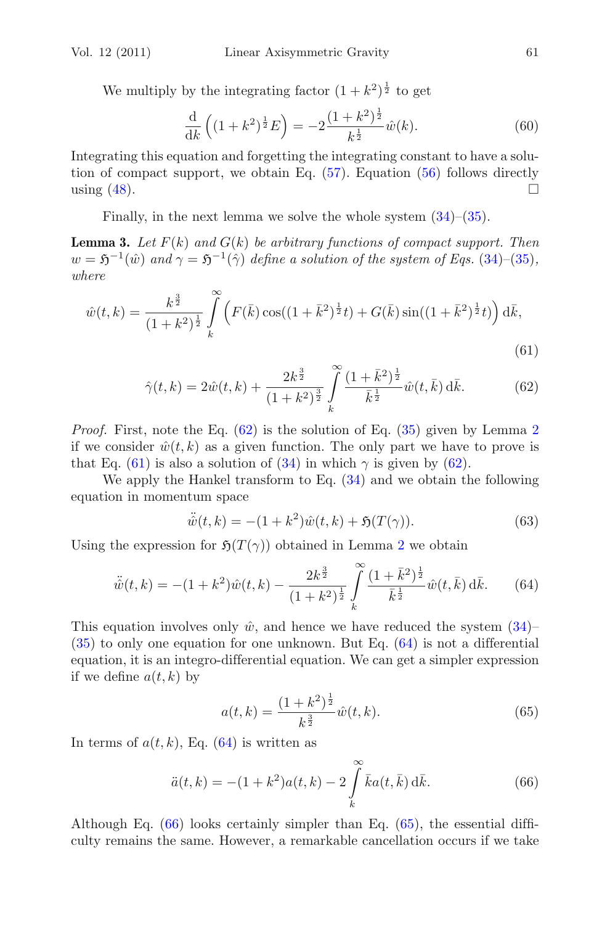We multiply by the integrating factor  $(1 + k^2)^{\frac{1}{2}}$  to get

$$
\frac{\mathrm{d}}{\mathrm{d}k}\left((1+k^2)^{\frac{1}{2}}E\right) = -2\frac{(1+k^2)^{\frac{1}{2}}}{k^{\frac{1}{2}}}\hat{w}(k). \tag{60}
$$

 $\frac{dk}{k^{\frac{1}{2}}}$   $\frac{k^{\frac{1}{2}}}$   $\frac{d(k)!}{k^{\frac{1}{2}}}$  (30)<br>Integrating this equation and forgetting the integrating constant to have a solution of compact support, we obtain Eq.  $(57)$ . Equation  $(56)$  follows directly using  $(48)$ .

Finally, in the next lemma we solve the whole system  $(34)$ – $(35)$ .

<span id="page-12-4"></span>**Lemma 3.** Let  $F(k)$  and  $G(k)$  be arbitrary functions of compact support. Then  $w = \mathfrak{H}^{-1}(\hat{w})$  and  $\gamma = \mathfrak{H}^{-1}(\hat{\gamma})$  define a solution of the system of Eqs. [\(34\)](#page-8-6)–[\(35\)](#page-8-6), *where*

<span id="page-12-1"></span>
$$
\hat{w}(t,k) = \frac{k^{\frac{3}{2}}}{(1+k^2)^{\frac{1}{2}}} \int\limits_{k}^{\infty} \left( F(\bar{k}) \cos((1+\bar{k}^2)^{\frac{1}{2}}t) + G(\bar{k}) \sin((1+\bar{k}^2)^{\frac{1}{2}}t) \right) d\bar{k},\tag{61}
$$

$$
\hat{\gamma}(t,k) = 2\hat{w}(t,k) + \frac{2k^{\frac{3}{2}}}{(1+k^2)^{\frac{3}{2}}} \int_{k}^{\infty} \frac{(1+\bar{k}^2)^{\frac{1}{2}}}{\bar{k}^{\frac{1}{2}}} \hat{w}(t,\bar{k}) \,\mathrm{d}\bar{k}.\tag{62}
$$

*Proof.* First, note the Eq. [\(62\)](#page-12-1) is the solution of Eq. [\(35\)](#page-8-6) given by Lemma [2](#page-11-3) if we consider  $\hat{w}(t, k)$  as a given function. The only part we have to prove is that Eq. [\(61\)](#page-12-1) is also a solution of [\(34\)](#page-8-6) in which  $\gamma$  is given by [\(62\)](#page-12-1).

We apply the Hankel transform to Eq. [\(34\)](#page-8-6) and we obtain the following equation in momentum space

$$
\ddot{\hat{w}}(t,k) = -(1+k^2)\hat{w}(t,k) + \mathfrak{H}(T(\gamma)).\tag{63}
$$

<span id="page-12-2"></span>Using the expression for  $\mathfrak{H}(T(\gamma))$  obtained in Lemma [2](#page-11-3) we obtain

$$
\ddot{\hat{w}}(t,k) = -(1+k^2)\hat{w}(t,k) - \frac{2k^{\frac{3}{2}}}{(1+k^2)^{\frac{1}{2}}} \int_{k}^{\infty} \frac{(1+\bar{k}^2)^{\frac{1}{2}}}{\bar{k}^{\frac{1}{2}}} \hat{w}(t,\bar{k}) \,\mathrm{d}\bar{k}.\tag{64}
$$

This equation involves only  $\hat{w}$ , and hence we have reduced the system  $(34)$ –  $(35)$  to only one equation for one unknown. But Eq.  $(64)$  is not a differential equation, it is an integro-differential equation. We can get a simpler expression if we define  $a(t, k)$  by

$$
a(t,k) = \frac{(1+k^2)^{\frac{1}{2}}}{k^{\frac{3}{2}}} \hat{w}(t,k).
$$
 (65)

<span id="page-12-3"></span><span id="page-12-0"></span>In terms of  $a(t, k)$ , Eq. [\(64\)](#page-12-2) is written as

$$
\ddot{a}(t,k) = -(1+k^2)a(t,k) - 2\int\limits_k^\infty \bar{k}a(t,\bar{k})\,\mathrm{d}\bar{k}.\tag{66}
$$

Although Eq.  $(66)$  looks certainly simpler than Eq.  $(65)$ , the essential difficulty remains the same. However, a remarkable cancellation occurs if we take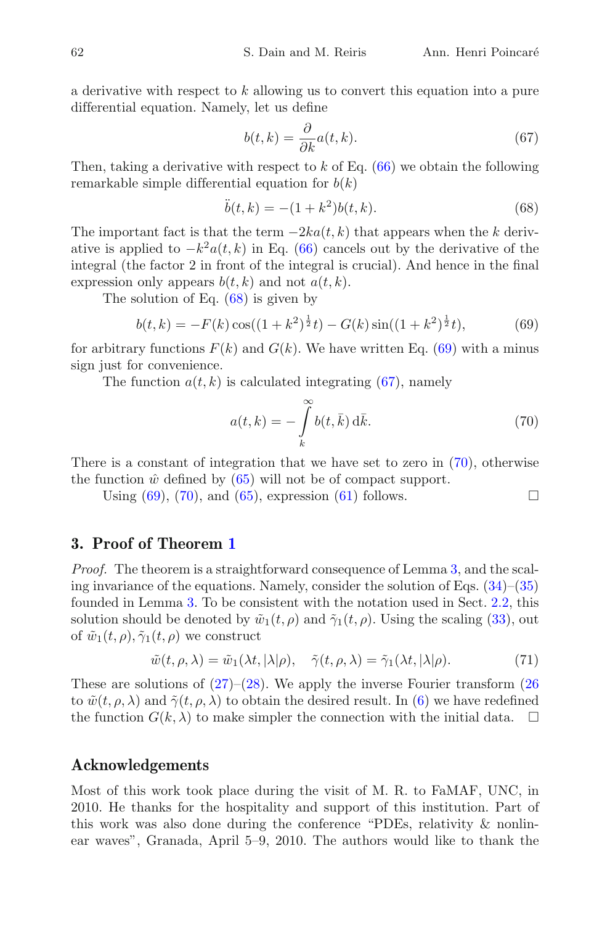a derivative with respect to k allowing us to convert this equation into a pure differential equation. Namely, let us define

$$
b(t,k) = \frac{\partial}{\partial k} a(t,k).
$$
\n(67)

\nthe respect to  $k$  of Eq. (66) we obtain the following

<span id="page-13-2"></span>Then, taking a derivative with respect to k of Eq. [\(66\)](#page-12-0) we obtain the following<br>remarkable simple differential equation for  $h(k)$ remarkable simple differential equation for  $b(k)$ 

$$
\ddot{b}(t,k) = -(1+k^2)b(t,k).
$$
 (68)

<span id="page-13-0"></span>The important fact is that the term  $-2ka(t, k)$  that appears when the k derivative is applied to  $-k^2a(t, k)$  in Eq. (66) cancels out by the derivative of the ative is applied to  $-k^2a(t, k)$  in Eq. [\(66\)](#page-12-0) cancels out by the derivative of the integral (the factor 2 in front of the integral is crucial). And hence in the final integral (the factor 2 in front of the integral is crucial). And hence in the final expression only appears  $b(t, k)$  and not  $a(t, k)$ .

The solution of Eq.  $(68)$  is given by

$$
b(t,k) = -F(k)\cos((1+k^2)^{\frac{1}{2}}t) - G(k)\sin((1+k^2)^{\frac{1}{2}}t),\tag{69}
$$

<span id="page-13-1"></span>for arbitrary functions  $F(k)$  and  $G(k)$ . We have written Eq. [\(69\)](#page-13-1) with a minus sign just for convenience.

<span id="page-13-3"></span>The function  $a(t, k)$  is calculated integrating [\(67\)](#page-13-2), namely

$$
a(t,k) = -\int_{k}^{\infty} b(t,\bar{k}) \,d\bar{k}.
$$
 (70)

There is a constant of integration that we have set to zero in [\(70\)](#page-13-3), otherwise the function  $\hat{w}$  defined by [\(65\)](#page-12-3) will not be of compact support.

Using  $(69)$ ,  $(70)$ , and  $(65)$ , expression  $(61)$  follows.

## **3. Proof of Theorem [1](#page-2-1)**

*Proof.* The theorem is a straightforward consequence of Lemma [3,](#page-12-4) and the scaling invariance of the equations. Namely, consider the solution of Eqs.  $(34)$ – $(35)$ founded in Lemma [3.](#page-12-4) To be consistent with the notation used in Sect. [2.2,](#page-7-0) this solution should be denoted by  $\tilde{w}_1(t, \rho)$  and  $\tilde{\gamma}_1(t, \rho)$ . Using the scaling [\(33\)](#page-8-7), out of  $\tilde{w}_1(t, \rho), \tilde{\gamma}_1(t, \rho)$  we construct

$$
\tilde{w}(t,\rho,\lambda) = \tilde{w}_1(\lambda t,|\lambda|\rho), \quad \tilde{\gamma}(t,\rho,\lambda) = \tilde{\gamma}_1(\lambda t,|\lambda|\rho). \tag{71}
$$

These are solutions of  $(27)$ – $(28)$ . We apply the inverse Fourier transform  $(26)$  $(26)$ to  $\tilde{w}(t, \rho, \lambda)$  and  $\tilde{\gamma}(t, \rho, \lambda)$  to obtain the desired result. In [\(6\)](#page-3-0) we have redefined the function  $G(k, \lambda)$  to make simpler the connection with the initial data.  $\Box$ 

#### **Acknowledgements**

Most of this work took place during the visit of M. R. to FaMAF, UNC, in 2010. He thanks for the hospitality and support of this institution. Part of this work was also done during the conference "PDEs, relativity & nonlinear waves", Granada, April 5–9, 2010. The authors would like to thank the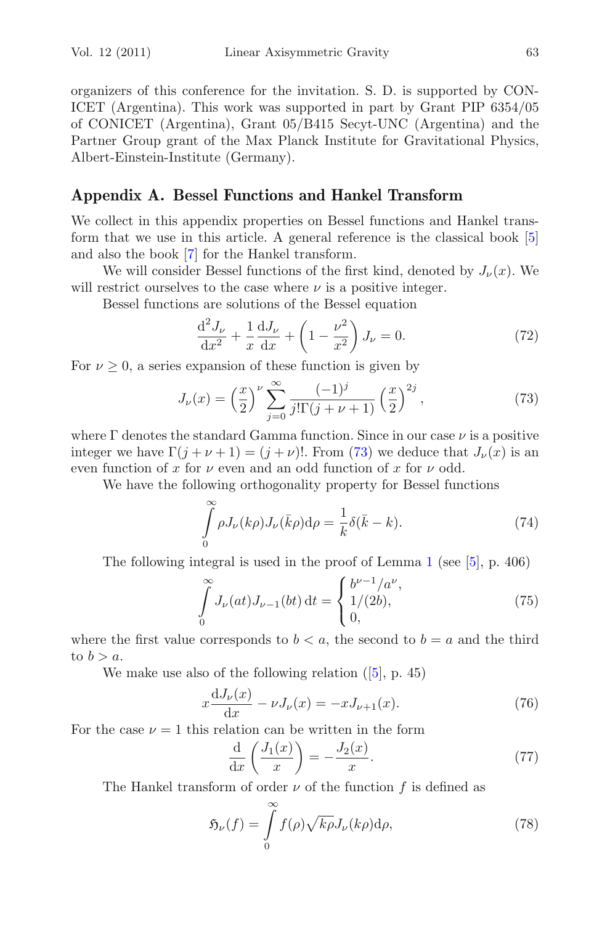organizers of this conference for the invitation. S. D. is supported by CON-ICET (Argentina). This work was supported in part by Grant PIP 6354/05 of CONICET (Argentina), Grant 05/B415 Secyt-UNC (Argentina) and the Partner Group grant of the Max Planck Institute for Gravitational Physics, Albert-Einstein-Institute (Germany).

# **Appendix A. Bessel Functions and Hankel Transform**

We collect in this appendix properties on Bessel functions and Hankel transform that we use in this article. A general reference is the classical book [\[5\]](#page-15-6) and also the book [\[7](#page-15-5)] for the Hankel transform.

We will consider Bessel functions of the first kind, denoted by  $J_{\nu}(x)$ . We will restrict ourselves to the case where  $\nu$  is a positive integer.

<span id="page-14-0"></span>Bessel functions are solutions of the Bessel equation

$$
\frac{d^2 J_{\nu}}{dx^2} + \frac{1}{x} \frac{dJ_{\nu}}{dx} + \left(1 - \frac{\nu^2}{x^2}\right) J_{\nu} = 0.
$$
 (72)

<span id="page-14-5"></span>For  $\nu \geq 0$ , a series expansion of these function is given by

$$
J_{\nu}(x) = \left(\frac{x}{2}\right)^{\nu} \sum_{j=0}^{\infty} \frac{(-1)^j}{j!\Gamma(j+\nu+1)} \left(\frac{x}{2}\right)^{2j},\tag{73}
$$

where  $\Gamma$  denotes the standard Gamma function. Since in our case  $\nu$  is a positive integer we have  $\Gamma(j + \nu + 1) = (j + \nu)!$ . From [\(73\)](#page-14-5) we deduce that  $J_{\nu}(x)$  is an even function of x for  $\nu$  even and an odd function of x for  $\nu$  odd.

<span id="page-14-2"></span>We have the following orthogonality property for Bessel functions

$$
\int_{0}^{\infty} \rho J_{\nu}(k\rho) J_{\nu}(\bar{k}\rho) d\rho = \frac{1}{k} \delta(\bar{k} - k).
$$
\n(74)

<span id="page-14-4"></span>The following integral is used in the proof of Lemma [1](#page-10-0) (see [\[5](#page-15-6)], p. 406)

$$
\int_{0}^{\infty} J_{\nu}(at) J_{\nu-1}(bt) dt = \begin{cases} b^{\nu-1}/a^{\nu}, \\ 1/(2b), \\ 0, \end{cases}
$$
 (75)

where the first value corresponds to  $b < a$ , the second to  $b = a$  and the third to  $b > a$ to  $b>a$ .

We make use also of the following relation ([\[5\]](#page-15-6), p. 45)

$$
x\frac{dJ_{\nu}(x)}{dx} - \nu J_{\nu}(x) = -xJ_{\nu+1}(x). \tag{76}
$$
is relation can be written in the form

For the case  $\nu = 1$  this relation can be written in the form

$$
\frac{\mathrm{d}}{\mathrm{d}x} \left( \frac{J_1(x)}{x} \right) = -\frac{J_2(x)}{x}.\tag{77}
$$

<span id="page-14-3"></span><span id="page-14-1"></span>The Hankel transform of order  $\nu$  of the function f is defined as

$$
\mathfrak{H}_{\nu}(f) = \int_{0}^{\infty} f(\rho) \sqrt{k \rho} J_{\nu}(k \rho) d\rho, \qquad (78)
$$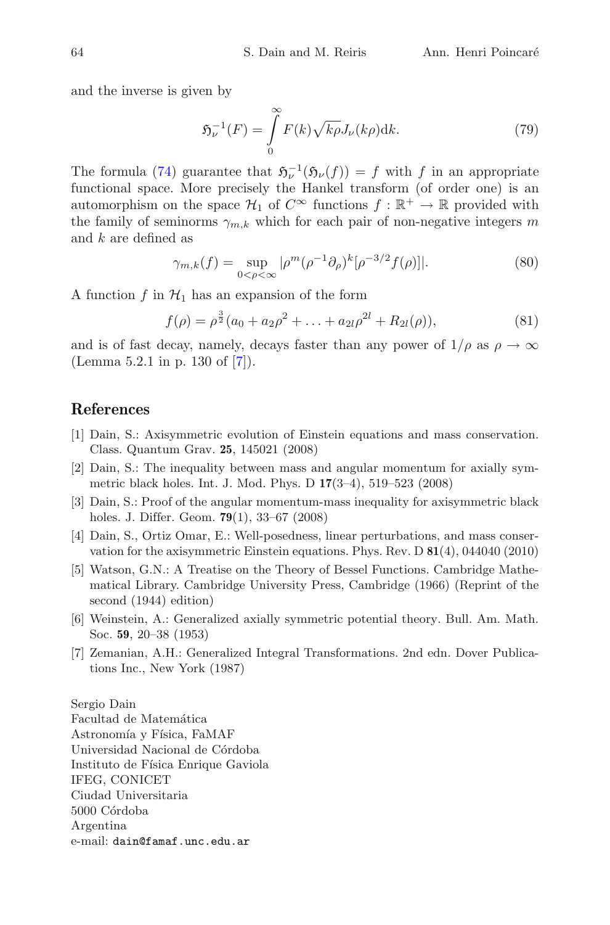<span id="page-15-4"></span>and the inverse is given by

$$
\mathfrak{H}_{\nu}^{-1}(F) = \int_{0}^{\infty} F(k) \sqrt{k \rho} J_{\nu}(k \rho) \mathrm{d}k. \tag{79}
$$

The formula [\(74\)](#page-14-2) guarantee that  $\mathfrak{H}_{\nu}^{-1}(\mathfrak{H}_{\nu}(f)) = f$  with f in an appropriate functional space. More precisely the Hankel transform (of order one) is an automorphism on the space  $\mathcal{H}_1$  of  $C^{\infty}$  functions  $f : \mathbb{R}^+ \to \mathbb{R}$  provided with the family of seminorms  $\gamma_{m,k}$  which for each pair of non-negative integers m and k are defined as

$$
\gamma_{m,k}(f) = \sup_{0 < \rho < \infty} |\rho^m (\rho^{-1} \partial_\rho)^k [\rho^{-3/2} f(\rho)]|.\tag{80}
$$

A function f in  $\mathcal{H}_1$  has an expansion of the form

$$
f(\rho) = \rho^{\frac{3}{2}}(a_0 + a_2\rho^2 + \ldots + a_{2l}\rho^{2l} + R_{2l}(\rho)),
$$
\n(81)

and is of fast decay, namely, decays faster than any power of  $1/\rho$  as  $\rho \to \infty$ (Lemma 5.2.1 in p. 130 of [\[7](#page-15-5)]).

# **References**

- <span id="page-15-0"></span>[1] Dain, S.: Axisymmetric evolution of Einstein equations and mass conservation. Class. Quantum Grav. **25**, 145021 (2008)
- [2] Dain, S.: The inequality between mass and angular momentum for axially symmetric black holes. Int. J. Mod. Phys. D **17**(3–4), 519–523 (2008)
- <span id="page-15-1"></span>[3] Dain, S.: Proof of the angular momentum-mass inequality for axisymmetric black holes. J. Differ. Geom. **79**(1), 33–67 (2008)
- <span id="page-15-2"></span>[4] Dain, S., Ortiz Omar, E.: Well-posedness, linear perturbations, and mass conservation for the axisymmetric Einstein equations. Phys. Rev. D **81**(4), 044040 (2010)
- <span id="page-15-6"></span>[5] Watson, G.N.: A Treatise on the Theory of Bessel Functions. Cambridge Mathematical Library. Cambridge University Press, Cambridge (1966) (Reprint of the second (1944) edition)
- <span id="page-15-3"></span>[6] Weinstein, A.: Generalized axially symmetric potential theory. Bull. Am. Math. Soc. **59**, 20–38 (1953)
- <span id="page-15-5"></span>[7] Zemanian, A.H.: Generalized Integral Transformations. 2nd edn. Dover Publications Inc., New York (1987)

Sergio Dain Facultad de Matemática Astronomía y Física, FaMAF Universidad Nacional de Córdoba Instituto de Física Enrique Gaviola IFEG, CONICET Ciudad Universitaria 5000 Córdoba Argentina e-mail: dain@famaf.unc.edu.ar